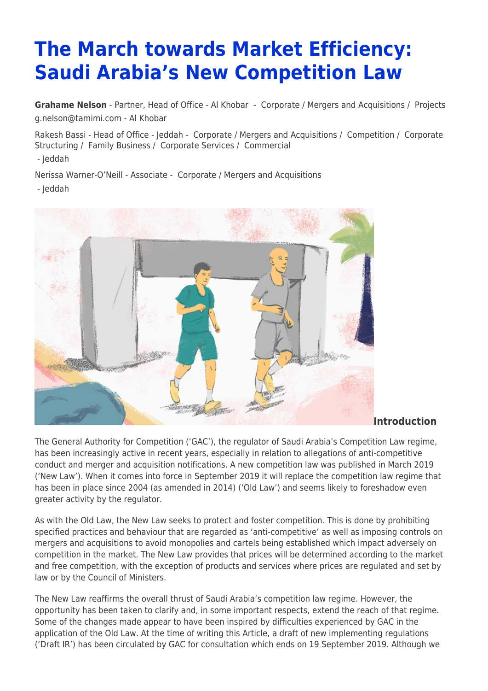# **The March towards Market Efficiency: Saudi Arabia's New Competition Law**

**[Grahame Nelson](https://www.tamimi.com/find-a-lawyer/grahame-nelson/)** - Partner, Head of Office - Al Khobar - [Corporate / Mergers and Acquisitions](https://www.tamimi.com/client-services/practices/corporate-mergers-acquisitions/) / [Projects](https://www.tamimi.com/client-services/practices/projects/) [g.nelson@tamimi.com](mailto:g.nelson@tamimi.com) - [Al Khobar](https://www.tamimi.com/locations/saudi-arabia/)

Rakesh Bassi - Head of Office - Jeddah - [Corporate / Mergers and Acquisitions](https://www.tamimi.com/client-services/practices/corporate-mergers-acquisitions/) / [Competition](https://www.tamimi.com/client-services/practices/competition/) / [Corporate](https://www.tamimi.com/client-services/practices/corporate-structuring/) [Structuring](https://www.tamimi.com/client-services/practices/corporate-structuring/) / [Family Business](https://www.tamimi.com/client-services/practices/family-business/) / [Corporate Services](https://www.tamimi.com/client-services/practices/corporate-services/) / [Commercial](https://www.tamimi.com/client-services/practices/commercial/) - [Jeddah](https://www.tamimi.com/locations/saudi-arabia/)

Nerissa Warner-O'Neill - Associate - [Corporate / Mergers and Acquisitions](https://www.tamimi.com/client-services/practices/corporate-mergers-acquisitions/) - [Jeddah](https://www.tamimi.com/locations/saudi-arabia/)



**Introduction**

The General Authority for Competition ('GAC'), the regulator of Saudi Arabia's Competition Law regime, has been increasingly active in recent years, especially in relation to allegations of anti-competitive conduct and merger and acquisition notifications. A new competition law was published in March 2019 ('New Law'). When it comes into force in September 2019 it will replace the competition law regime that has been in place since 2004 (as amended in 2014) ('Old Law') and seems likely to foreshadow even greater activity by the regulator.

As with the Old Law, the New Law seeks to protect and foster competition. This is done by prohibiting specified practices and behaviour that are regarded as 'anti-competitive' as well as imposing controls on mergers and acquisitions to avoid monopolies and cartels being established which impact adversely on competition in the market. The New Law provides that prices will be determined according to the market and free competition, with the exception of products and services where prices are regulated and set by law or by the Council of Ministers.

The New Law reaffirms the overall thrust of Saudi Arabia's competition law regime. However, the opportunity has been taken to clarify and, in some important respects, extend the reach of that regime. Some of the changes made appear to have been inspired by difficulties experienced by GAC in the application of the Old Law. At the time of writing this Article, a draft of new implementing regulations ('Draft IR') has been circulated by GAC for consultation which ends on 19 September 2019. Although we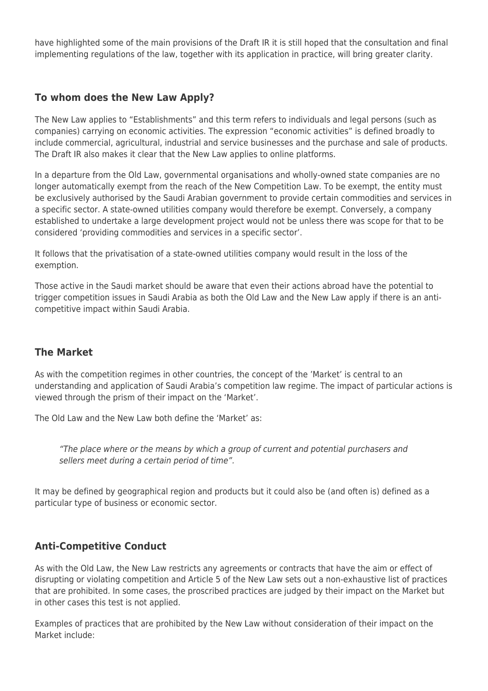have highlighted some of the main provisions of the Draft IR it is still hoped that the consultation and final implementing regulations of the law, together with its application in practice, will bring greater clarity.

# **To whom does the New Law Apply?**

The New Law applies to "Establishments" and this term refers to individuals and legal persons (such as companies) carrying on economic activities. The expression "economic activities" is defined broadly to include commercial, agricultural, industrial and service businesses and the purchase and sale of products. The Draft IR also makes it clear that the New Law applies to online platforms.

In a departure from the Old Law, governmental organisations and wholly-owned state companies are no longer automatically exempt from the reach of the New Competition Law. To be exempt, the entity must be exclusively authorised by the Saudi Arabian government to provide certain commodities and services in a specific sector. A state-owned utilities company would therefore be exempt. Conversely, a company established to undertake a large development project would not be unless there was scope for that to be considered 'providing commodities and services in a specific sector'.

It follows that the privatisation of a state-owned utilities company would result in the loss of the exemption.

Those active in the Saudi market should be aware that even their actions abroad have the potential to trigger competition issues in Saudi Arabia as both the Old Law and the New Law apply if there is an anticompetitive impact within Saudi Arabia.

## **The Market**

As with the competition regimes in other countries, the concept of the 'Market' is central to an understanding and application of Saudi Arabia's competition law regime. The impact of particular actions is viewed through the prism of their impact on the 'Market'.

The Old Law and the New Law both define the 'Market' as:

"The place where or the means by which a group of current and potential purchasers and sellers meet during a certain period of time".

It may be defined by geographical region and products but it could also be (and often is) defined as a particular type of business or economic sector.

# **Anti-Competitive Conduct**

As with the Old Law, the New Law restricts any agreements or contracts that have the aim or effect of disrupting or violating competition and Article 5 of the New Law sets out a non-exhaustive list of practices that are prohibited. In some cases, the proscribed practices are judged by their impact on the Market but in other cases this test is not applied.

Examples of practices that are prohibited by the New Law without consideration of their impact on the Market include: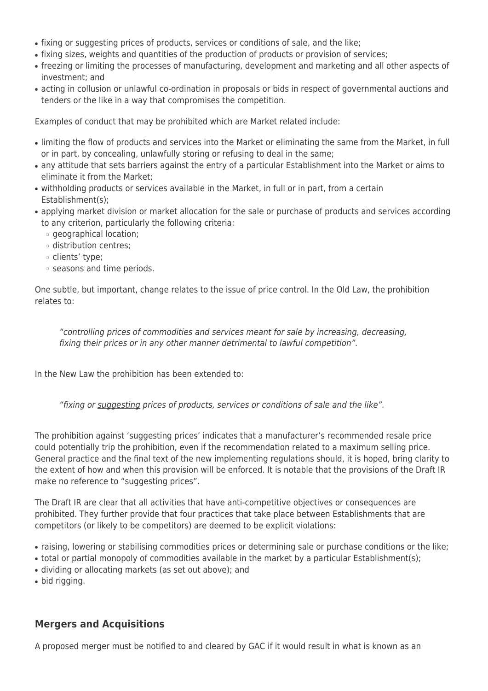- fixing or suggesting prices of products, services or conditions of sale, and the like;
- fixing sizes, weights and quantities of the production of products or provision of services;
- freezing or limiting the processes of manufacturing, development and marketing and all other aspects of investment; and
- acting in collusion or unlawful co-ordination in proposals or bids in respect of governmental auctions and tenders or the like in a way that compromises the competition.

Examples of conduct that may be prohibited which are Market related include:

- limiting the flow of products and services into the Market or eliminating the same from the Market, in full or in part, by concealing, unlawfully storing or refusing to deal in the same;
- any attitude that sets barriers against the entry of a particular Establishment into the Market or aims to eliminate it from the Market;
- withholding products or services available in the Market, in full or in part, from a certain Establishment(s);
- applying market division or market allocation for the sale or purchase of products and services according to any criterion, particularly the following criteria:
	- ❍ geographical location;
	- ❍ distribution centres;
	- ❍ clients' type;
	- ❍ seasons and time periods.

One subtle, but important, change relates to the issue of price control. In the Old Law, the prohibition relates to:

"controlling prices of commodities and services meant for sale by increasing, decreasing, fixing their prices or in any other manner detrimental to lawful competition".

In the New Law the prohibition has been extended to:

"fixing or suggesting prices of products, services or conditions of sale and the like".

The prohibition against 'suggesting prices' indicates that a manufacturer's recommended resale price could potentially trip the prohibition, even if the recommendation related to a maximum selling price. General practice and the final text of the new implementing regulations should, it is hoped, bring clarity to the extent of how and when this provision will be enforced. It is notable that the provisions of the Draft IR make no reference to "suggesting prices".

The Draft IR are clear that all activities that have anti-competitive objectives or consequences are prohibited. They further provide that four practices that take place between Establishments that are competitors (or likely to be competitors) are deemed to be explicit violations:

- raising, lowering or stabilising commodities prices or determining sale or purchase conditions or the like;
- total or partial monopoly of commodities available in the market by a particular Establishment(s);
- dividing or allocating markets (as set out above); and
- bid rigging.

## **Mergers and Acquisitions**

A proposed merger must be notified to and cleared by GAC if it would result in what is known as an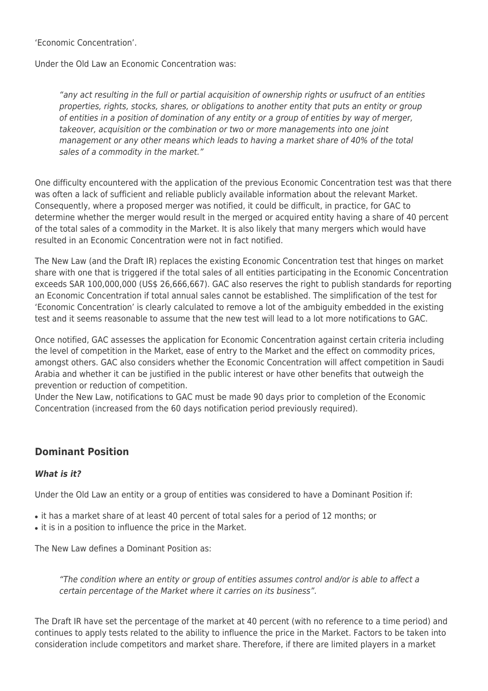'Economic Concentration'.

Under the Old Law an Economic Concentration was:

"any act resulting in the full or partial acquisition of ownership rights or usufruct of an entities properties, rights, stocks, shares, or obligations to another entity that puts an entity or group of entities in a position of domination of any entity or a group of entities by way of merger, takeover, acquisition or the combination or two or more managements into one joint management or any other means which leads to having a market share of 40% of the total sales of a commodity in the market."

One difficulty encountered with the application of the previous Economic Concentration test was that there was often a lack of sufficient and reliable publicly available information about the relevant Market. Consequently, where a proposed merger was notified, it could be difficult, in practice, for GAC to determine whether the merger would result in the merged or acquired entity having a share of 40 percent of the total sales of a commodity in the Market. It is also likely that many mergers which would have resulted in an Economic Concentration were not in fact notified.

The New Law (and the Draft IR) replaces the existing Economic Concentration test that hinges on market share with one that is triggered if the total sales of all entities participating in the Economic Concentration exceeds SAR 100,000,000 (US\$ 26,666,667). GAC also reserves the right to publish standards for reporting an Economic Concentration if total annual sales cannot be established. The simplification of the test for 'Economic Concentration' is clearly calculated to remove a lot of the ambiguity embedded in the existing test and it seems reasonable to assume that the new test will lead to a lot more notifications to GAC.

Once notified, GAC assesses the application for Economic Concentration against certain criteria including the level of competition in the Market, ease of entry to the Market and the effect on commodity prices, amongst others. GAC also considers whether the Economic Concentration will affect competition in Saudi Arabia and whether it can be justified in the public interest or have other benefits that outweigh the prevention or reduction of competition.

Under the New Law, notifications to GAC must be made 90 days prior to completion of the Economic Concentration (increased from the 60 days notification period previously required).

## **Dominant Position**

#### *What is it?*

Under the Old Law an entity or a group of entities was considered to have a Dominant Position if:

- it has a market share of at least 40 percent of total sales for a period of 12 months; or
- it is in a position to influence the price in the Market.

The New Law defines a Dominant Position as:

"The condition where an entity or group of entities assumes control and/or is able to affect a certain percentage of the Market where it carries on its business".

The Draft IR have set the percentage of the market at 40 percent (with no reference to a time period) and continues to apply tests related to the ability to influence the price in the Market. Factors to be taken into consideration include competitors and market share. Therefore, if there are limited players in a market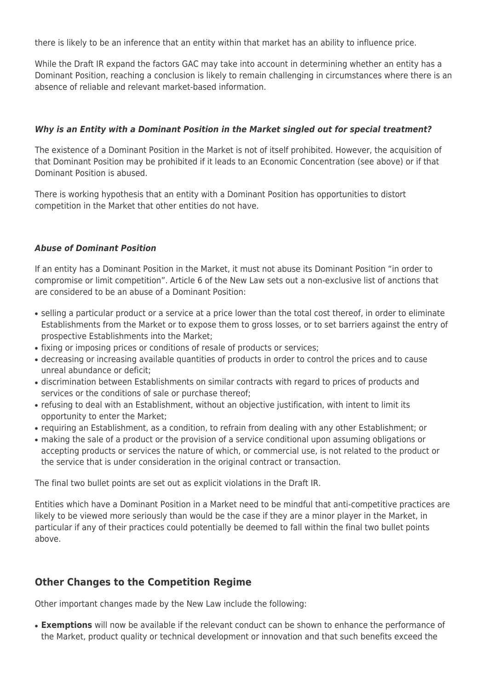there is likely to be an inference that an entity within that market has an ability to influence price.

While the Draft IR expand the factors GAC may take into account in determining whether an entity has a Dominant Position, reaching a conclusion is likely to remain challenging in circumstances where there is an absence of reliable and relevant market-based information.

#### *Why is an Entity with a Dominant Position in the Market singled out for special treatment?*

The existence of a Dominant Position in the Market is not of itself prohibited. However, the acquisition of that Dominant Position may be prohibited if it leads to an Economic Concentration (see above) or if that Dominant Position is abused.

There is working hypothesis that an entity with a Dominant Position has opportunities to distort competition in the Market that other entities do not have.

#### *Abuse of Dominant Position*

If an entity has a Dominant Position in the Market, it must not abuse its Dominant Position "in order to compromise or limit competition". Article 6 of the New Law sets out a non-exclusive list of anctions that are considered to be an abuse of a Dominant Position:

- selling a particular product or a service at a price lower than the total cost thereof, in order to eliminate Establishments from the Market or to expose them to gross losses, or to set barriers against the entry of prospective Establishments into the Market;
- fixing or imposing prices or conditions of resale of products or services;
- decreasing or increasing available quantities of products in order to control the prices and to cause unreal abundance or deficit;
- discrimination between Establishments on similar contracts with regard to prices of products and services or the conditions of sale or purchase thereof;
- refusing to deal with an Establishment, without an objective justification, with intent to limit its opportunity to enter the Market;
- requiring an Establishment, as a condition, to refrain from dealing with any other Establishment; or
- making the sale of a product or the provision of a service conditional upon assuming obligations or accepting products or services the nature of which, or commercial use, is not related to the product or the service that is under consideration in the original contract or transaction.

The final two bullet points are set out as explicit violations in the Draft IR.

Entities which have a Dominant Position in a Market need to be mindful that anti-competitive practices are likely to be viewed more seriously than would be the case if they are a minor player in the Market, in particular if any of their practices could potentially be deemed to fall within the final two bullet points above.

## **Other Changes to the Competition Regime**

Other important changes made by the New Law include the following:

• **Exemptions** will now be available if the relevant conduct can be shown to enhance the performance of the Market, product quality or technical development or innovation and that such benefits exceed the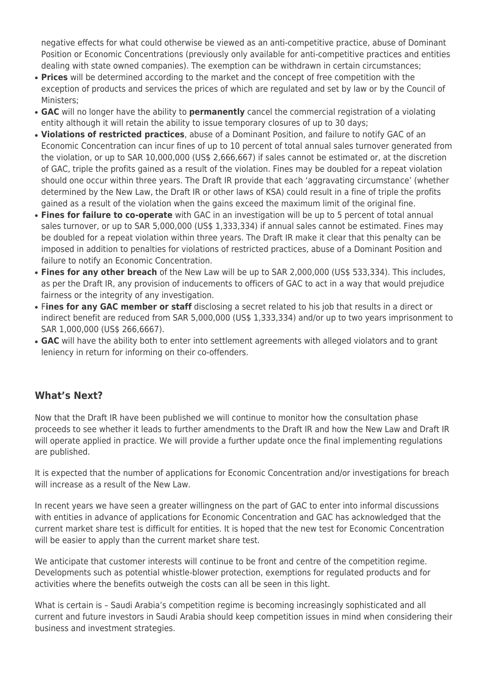negative effects for what could otherwise be viewed as an anti-competitive practice, abuse of Dominant Position or Economic Concentrations (previously only available for anti-competitive practices and entities dealing with state owned companies). The exemption can be withdrawn in certain circumstances;

- **Prices** will be determined according to the market and the concept of free competition with the exception of products and services the prices of which are regulated and set by law or by the Council of Ministers;
- **GAC** will no longer have the ability to **permanently** cancel the commercial registration of a violating entity although it will retain the ability to issue temporary closures of up to 30 days;
- **Violations of restricted practices**, abuse of a Dominant Position, and failure to notify GAC of an Economic Concentration can incur fines of up to 10 percent of total annual sales turnover generated from the violation, or up to SAR 10,000,000 (US\$ 2,666,667) if sales cannot be estimated or, at the discretion of GAC, triple the profits gained as a result of the violation. Fines may be doubled for a repeat violation should one occur within three years. The Draft IR provide that each 'aggravating circumstance' (whether determined by the New Law, the Draft IR or other laws of KSA) could result in a fine of triple the profits gained as a result of the violation when the gains exceed the maximum limit of the original fine.
- Fines for failure to co-operate with GAC in an investigation will be up to 5 percent of total annual sales turnover, or up to SAR 5,000,000 (US\$ 1,333,334) if annual sales cannot be estimated. Fines may be doubled for a repeat violation within three years. The Draft IR make it clear that this penalty can be imposed in addition to penalties for violations of restricted practices, abuse of a Dominant Position and failure to notify an Economic Concentration.
- **Fines for any other breach** of the New Law will be up to SAR 2,000,000 (US\$ 533,334). This includes, as per the Draft IR, any provision of inducements to officers of GAC to act in a way that would prejudice fairness or the integrity of any investigation.
- F**ines for any GAC member or staff** disclosing a secret related to his job that results in a direct or indirect benefit are reduced from SAR 5,000,000 (US\$ 1,333,334) and/or up to two years imprisonment to SAR 1,000,000 (US\$ 266,6667).
- GAC will have the ability both to enter into settlement agreements with alleged violators and to grant leniency in return for informing on their co-offenders.

# **What's Next?**

Now that the Draft IR have been published we will continue to monitor how the consultation phase proceeds to see whether it leads to further amendments to the Draft IR and how the New Law and Draft IR will operate applied in practice. We will provide a further update once the final implementing regulations are published.

It is expected that the number of applications for Economic Concentration and/or investigations for breach will increase as a result of the New Law.

In recent years we have seen a greater willingness on the part of GAC to enter into informal discussions with entities in advance of applications for Economic Concentration and GAC has acknowledged that the current market share test is difficult for entities. It is hoped that the new test for Economic Concentration will be easier to apply than the current market share test.

We anticipate that customer interests will continue to be front and centre of the competition regime. Developments such as potential whistle-blower protection, exemptions for regulated products and for activities where the benefits outweigh the costs can all be seen in this light.

What is certain is – Saudi Arabia's competition regime is becoming increasingly sophisticated and all current and future investors in Saudi Arabia should keep competition issues in mind when considering their business and investment strategies.